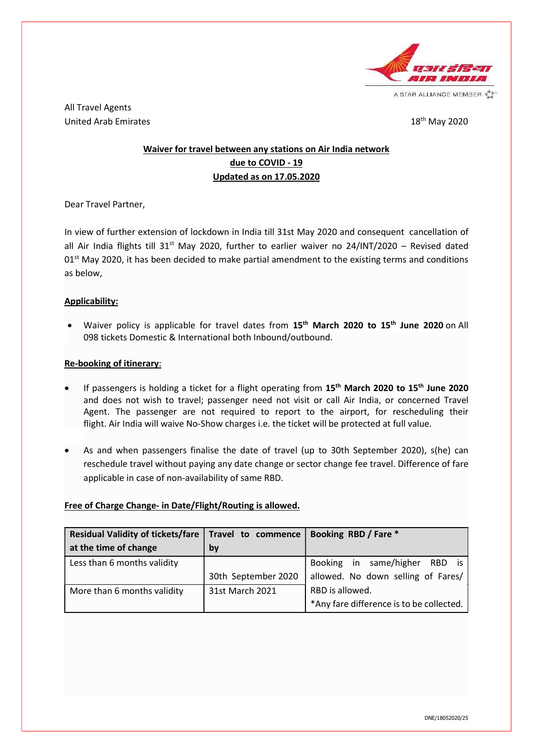

A STAR ALLIANCE MEMBER V.

All Travel Agents United Arab Emirates **18th May 2020** 

# Waiver for travel between any stations on Air India network due to COVID - 19 Updated as on 17.05.2020

Dear Travel Partner,

In view of further extension of lockdown in India till 31st May 2020 and consequent cancellation of all Air India flights till 31<sup>st</sup> May 2020, further to earlier waiver no 24/INT/2020 - Revised dated  $01<sup>st</sup>$  May 2020, it has been decided to make partial amendment to the existing terms and conditions as below,

### Applicability:

• Waiver policy is applicable for travel dates from 15<sup>th</sup> March 2020 to 15<sup>th</sup> June 2020 on All 098 tickets Domestic & International both Inbound/outbound.

### Re-booking of itinerary:

- If passengers is holding a ticket for a flight operating from  $15<sup>th</sup>$  March 2020 to  $15<sup>th</sup>$  June 2020 and does not wish to travel; passenger need not visit or call Air India, or concerned Travel Agent. The passenger are not required to report to the airport, for rescheduling their flight. Air India will waive No-Show charges i.e. the ticket will be protected at full value.
- As and when passengers finalise the date of travel (up to 30th September 2020), s(he) can reschedule travel without paying any date change or sector change fee travel. Difference of fare applicable in case of non-availability of same RBD.

## Free of Charge Change- in Date/Flight/Routing is allowed.

| Residual Validity of tickets/fare $\vert$ Travel to commence $\vert$ |                     | Booking RBD / Fare *                     |
|----------------------------------------------------------------------|---------------------|------------------------------------------|
| at the time of change                                                | by                  |                                          |
| Less than 6 months validity                                          |                     | Booking in same/higher RBD is            |
|                                                                      | 30th September 2020 | allowed. No down selling of Fares/       |
| More than 6 months validity                                          | 31st March 2021     | RBD is allowed.                          |
|                                                                      |                     | *Any fare difference is to be collected. |